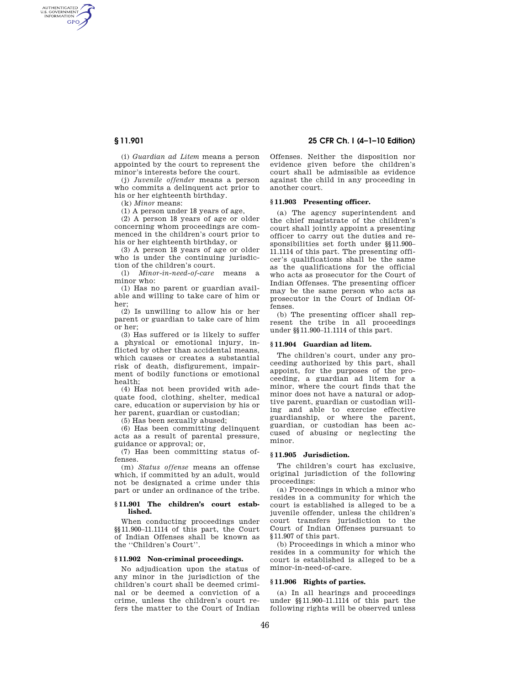AUTHENTICATED<br>U.S. GOVERNMENT<br>INFORMATION **GPO** 

> (i) *Guardian ad Litem* means a person appointed by the court to represent the minor's interests before the court.

> (j) *Juvenile offender* means a person who commits a delinquent act prior to his or her eighteenth birthday.

(k) *Minor* means:

(1) A person under 18 years of age,

(2) A person 18 years of age or older concerning whom proceedings are commenced in the children's court prior to his or her eighteenth birthday, or

(3) A person 18 years of age or older who is under the continuing jurisdiction of the children's court.

(1) *Minor-in-need-of-care* means minor who:

(1) Has no parent or guardian available and willing to take care of him or her;

(2) Is unwilling to allow his or her parent or guardian to take care of him or her;

(3) Has suffered or is likely to suffer a physical or emotional injury, inflicted by other than accidental means, which causes or creates a substantial risk of death, disfigurement, impairment of bodily functions or emotional health;

(4) Has not been provided with adequate food, clothing, shelter, medical care, education or supervision by his or her parent, guardian or custodian;

(5) Has been sexually abused;

(6) Has been committing delinquent acts as a result of parental pressure, guidance or approval; or,

(7) Has been committing status offenses.

(m) *Status offense* means an offense which, if committed by an adult, would not be designated a crime under this part or under an ordinance of the tribe.

## **§ 11.901 The children's court established.**

When conducting proceedings under §§11.900–11.1114 of this part, the Court of Indian Offenses shall be known as the ''Children's Court''.

## **§ 11.902 Non-criminal proceedings.**

No adjudication upon the status of any minor in the jurisdiction of the children's court shall be deemed criminal or be deemed a conviction of a crime, unless the children's court refers the matter to the Court of Indian

**§ 11.901 25 CFR Ch. I (4–1–10 Edition)** 

Offenses. Neither the disposition nor evidence given before the children's court shall be admissible as evidence against the child in any proceeding in another court.

#### **§ 11.903 Presenting officer.**

(a) The agency superintendent and the chief magistrate of the children's court shall jointly appoint a presenting officer to carry out the duties and responsibilities set forth under §§11.900– 11.1114 of this part. The presenting officer's qualifications shall be the same as the qualifications for the official who acts as prosecutor for the Court of Indian Offenses. The presenting officer may be the same person who acts as prosecutor in the Court of Indian Offenses.

(b) The presenting officer shall represent the tribe in all proceedings under §§11.900–11.1114 of this part.

#### **§ 11.904 Guardian ad litem.**

The children's court, under any proceeding authorized by this part, shall appoint, for the purposes of the proceeding, a guardian ad litem for a minor, where the court finds that the minor does not have a natural or adoptive parent, guardian or custodian willing and able to exercise effective guardianship, or where the parent, guardian, or custodian has been accused of abusing or neglecting the minor.

## **§ 11.905 Jurisdiction.**

The children's court has exclusive, original jurisdiction of the following proceedings:

(a) Proceedings in which a minor who resides in a community for which the court is established is alleged to be a juvenile offender, unless the children's court transfers jurisdiction to the Court of Indian Offenses pursuant to §11.907 of this part.

(b) Proceedings in which a minor who resides in a community for which the court is established is alleged to be a minor-in-need-of-care.

## **§ 11.906 Rights of parties.**

(a) In all hearings and proceedings under §§11.900–11.1114 of this part the following rights will be observed unless